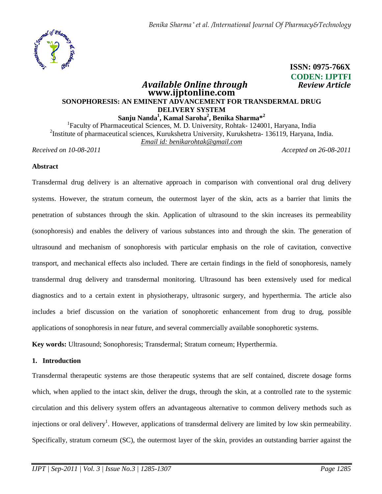

## **CODEN: IJPTFI** *Available Online through Review Article* **www.ijptonline.com SONOPHORESIS: AN EMINENT ADVANCEMENT FOR TRANSDERMAL DRUG DELIVERY SYSTEM Sanju Nanda<sup>1</sup> , Kamal Saroha<sup>2</sup> , Benika Sharma\*<sup>2</sup>**

<sup>1</sup>Faculty of Pharmaceutical Sciences, M. D. University, Rohtak- 124001, Haryana, India <sup>2</sup>Institute of pharmaceutical sciences, Kurukshetra University, Kurukshetra- 136119, Haryana, India. *Email id: benikarohtak@gmail.com*

*Received on 10-08-2011 Accepted on 26-08-2011*

**ISSN: 0975-766X**

### **Abstract**

Transdermal drug delivery is an alternative approach in comparison with conventional oral drug delivery systems. However, the stratum corneum, the outermost layer of the skin, acts as a barrier that limits the penetration of substances through the skin. Application of ultrasound to the skin increases its permeability (sonophoresis) and enables the delivery of various substances into and through the skin. The generation of ultrasound and mechanism of sonophoresis with particular emphasis on the role of cavitation, convective transport, and mechanical effects also included. There are certain findings in the field of sonophoresis, namely transdermal drug delivery and transdermal monitoring. Ultrasound has been extensively used for medical diagnostics and to a certain extent in physiotherapy, ultrasonic surgery, and hyperthermia. The article also includes a brief discussion on the variation of sonophoretic enhancement from drug to drug, possible applications of sonophoresis in near future, and several commercially available sonophoretic systems.

**Key words:** Ultrasound; Sonophoresis; Transdermal; Stratum corneum; Hyperthermia.

### **1. Introduction**

Transdermal therapeutic systems are those therapeutic systems that are self contained, discrete dosage forms which, when applied to the intact skin, deliver the drugs, through the skin, at a controlled rate to the systemic circulation and this delivery system offers an advantageous alternative to common delivery methods such as injections or oral delivery<sup>1</sup>. However, applications of transdermal delivery are limited by low skin permeability. Specifically, stratum corneum (SC), the outermost layer of the skin, provides an outstanding barrier against the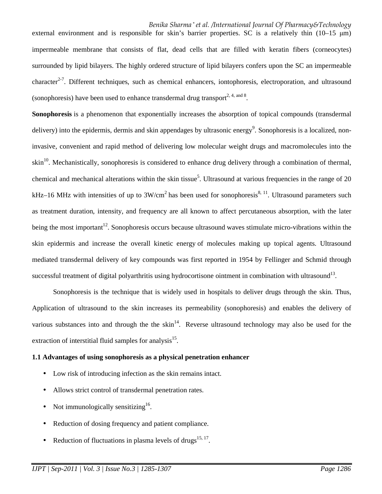# *Benika Sharma \* et al. /International Journal Of Pharmacy&Technology*

external environment and is responsible for skin's barrier properties. SC is a relatively thin  $(10-15 \text{ }\mu\text{m})$ impermeable membrane that consists of flat, dead cells that are filled with keratin fibers (corneocytes) surrounded by lipid bilayers. The highly ordered structure of lipid bilayers confers upon the SC an impermeable character<sup>2-7</sup>. Different techniques, such as chemical enhancers, iontophoresis, electroporation, and ultrasound (sonophoresis) have been used to enhance transdermal drug transport<sup>2, 4, and 8</sup>.

**Sonophoresis** is a phenomenon that exponentially increases the absorption of topical compounds (transdermal delivery) into the epidermis, dermis and skin appendages by ultrasonic energy<sup>9</sup>. Sonophoresis is a localized, noninvasive, convenient and rapid method of delivering low molecular weight drugs and macromolecules into the  $\sin^{10}$ . Mechanistically, sonophoresis is considered to enhance drug delivery through a combination of thermal, chemical and mechanical alterations within the skin tissue<sup>5</sup>. Ultrasound at various frequencies in the range of 20 kHz–16 MHz with intensities of up to  $3W/cm<sup>2</sup>$  has been used for sonophoresis<sup>8, 11</sup>. Ultrasound parameters such as treatment duration, intensity, and frequency are all known to affect percutaneous absorption, with the later being the most important<sup>12</sup>. Sonophoresis occurs because ultrasound waves stimulate micro-vibrations within the skin epidermis and increase the overall kinetic energy of molecules making up topical agents. Ultrasound mediated transdermal delivery of key compounds was first reported in 1954 by Fellinger and Schmid through successful treatment of digital polyarthritis using hydrocortisone ointment in combination with ultrasound<sup>13</sup>.

 Sonophoresis is the technique that is widely used in hospitals to deliver drugs through the skin. Thus, Application of ultrasound to the skin increases its permeability (sonophoresis) and enables the delivery of various substances into and through the the  $\sin^{14}$ . Reverse ultrasound technology may also be used for the extraction of interstitial fluid samples for analysis<sup>15</sup>.

## **1.1 Advantages of using sonophoresis as a physical penetration enhancer**

- Low risk of introducing infection as the skin remains intact.
- Allows strict control of transdermal penetration rates.
- Not immunologically sensitizing<sup>16</sup>.
- Reduction of dosing frequency and patient compliance.
- Reduction of fluctuations in plasma levels of drugs<sup>15, 17</sup>.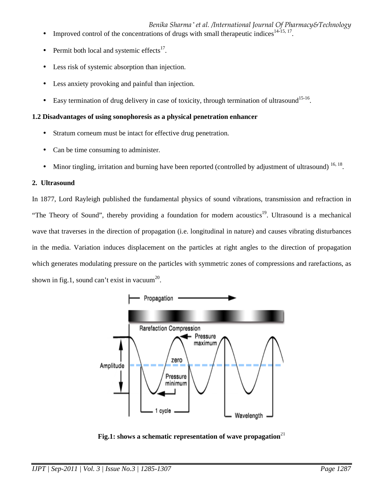*Benika Sharma \* et al. /International Journal Of Pharmacy&Technology*

- Improved control of the concentrations of drugs with small therapeutic indices<sup>14-15, 17</sup>.
- Permit both local and systemic effects $17$ .
- Less risk of systemic absorption than injection.
- Less anxiety provoking and painful than injection.
- Easy termination of drug delivery in case of toxicity, through termination of ultrasound<sup>15-16</sup>.

# **1.2 Disadvantages of using sonophoresis as a physical penetration enhancer**

- Stratum corneum must be intact for effective drug penetration.
- Can be time consuming to administer.
- Minor tingling, irritation and burning have been reported (controlled by adjustment of ultrasound)  $^{16, 18}$ .

# **2. Ultrasound**

In 1877, Lord Rayleigh published the fundamental physics of sound vibrations, transmission and refraction in "The Theory of Sound", thereby providing a foundation for modern acoustics<sup>19</sup>. Ultrasound is a mechanical wave that traverses in the direction of propagation (i.e. longitudinal in nature) and causes vibrating disturbances in the media. Variation induces displacement on the particles at right angles to the direction of propagation which generates modulating pressure on the particles with symmetric zones of compressions and rarefactions, as shown in fig.1, sound can't exist in vacuum<sup>20</sup>.



**Fig.1:** shows a schematic representation of wave propagation<sup>21</sup>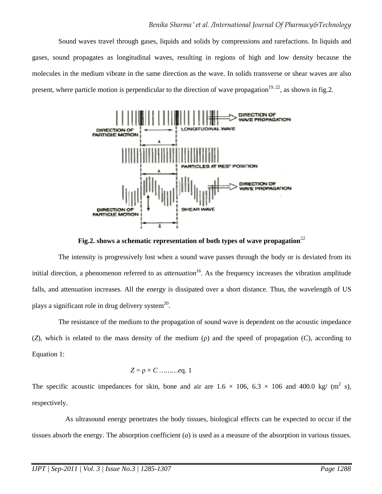Sound waves travel through gases, liquids and solids by compressions and rarefactions. In liquids and gases, sound propagates as longitudinal waves, resulting in regions of high and low density because the molecules in the medium vibrate in the same direction as the wave. In solids transverse or shear waves are also present, where particle motion is perpendicular to the direction of wave propagation<sup>19, 22</sup>, as shown in fig.2.



**Fig.2. shows a schematic representation of both types of wave propagation**<sup>22</sup>

 The intensity is progressively lost when a sound wave passes through the body or is deviated from its initial direction, a phenomenon referred to as *attenuation*<sup>16</sup>. As the frequency increases the vibration amplitude falls, and attenuation increases. All the energy is dissipated over a short distance. Thus, the wavelength of US plays a significant role in drug delivery system $^{20}$ .

 The resistance of the medium to the propagation of sound wave is dependent on the acoustic impedance (*Z*), which is related to the mass density of the medium (ρ) and the speed of propagation (*C*), according to Equation 1:

$$
Z = \rho \times C \dots \dots \dots eq. 1
$$

The specific acoustic impedances for skin, bone and air are  $1.6 \times 106$ ,  $6.3 \times 106$  and  $400.0$  kg/ (m<sup>2</sup> s), respectively.

 As ultrasound energy penetrates the body tissues, biological effects can be expected to occur if the tissues absorb the energy. The absorption coefficient (*a*) is used as a measure of the absorption in various tissues.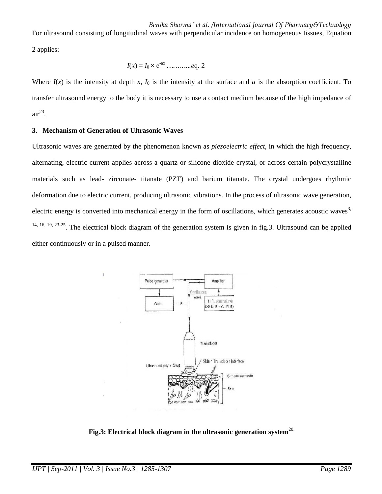*Benika Sharma \* et al. /International Journal Of Pharmacy&Technology*

For ultrasound consisting of longitudinal waves with perpendicular incidence on homogeneous tissues, Equation 2 applies:

$$
I(x) = I_0 \times e^{-ax}
$$
 .........eq. 2

Where  $I(x)$  is the intensity at depth  $x$ ,  $I_0$  is the intensity at the surface and  $a$  is the absorption coefficient. To transfer ultrasound energy to the body it is necessary to use a contact medium because of the high impedance of  $air^{23}$ .

### **3. Mechanism of Generation of Ultrasonic Waves**

Ultrasonic waves are generated by the phenomenon known as *piezoelectric effect*, in which the high frequency, alternating, electric current applies across a quartz or silicone dioxide crystal, or across certain polycrystalline materials such as lead- zirconate- titanate (PZT) and barium titanate. The crystal undergoes rhythmic deformation due to electric current, producing ultrasonic vibrations. In the process of ultrasonic wave generation, electric energy is converted into mechanical energy in the form of oscillations, which generates acoustic waves<sup>3,</sup> 14, 16, 19, 23-25. The electrical block diagram of the generation system is given in fig.3. Ultrasound can be applied either continuously or in a pulsed manner.



**Fig.3: Electrical block diagram in the ultrasonic generation system**20.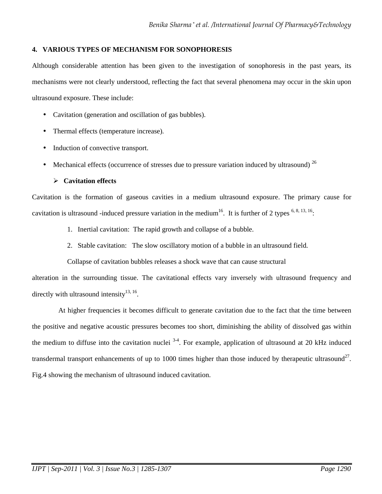# **4. VARIOUS TYPES OF MECHANISM FOR SONOPHORESIS**

Although considerable attention has been given to the investigation of sonophoresis in the past years, its mechanisms were not clearly understood, reflecting the fact that several phenomena may occur in the skin upon ultrasound exposure. These include:

- Cavitation (generation and oscillation of gas bubbles).
- Thermal effects (temperature increase).
- Induction of convective transport.
- Mechanical effects (occurrence of stresses due to pressure variation induced by ultrasound)  $^{26}$

# **Cavitation effects**

Cavitation is the formation of gaseous cavities in a medium ultrasound exposure. The primary cause for cavitation is ultrasound -induced pressure variation in the medium<sup>16</sup>. It is further of 2 types  $6, 8, 13, 16$ :

- 1. Inertial cavitation: The rapid growth and collapse of a bubble.
- 2. Stable cavitation: The slow oscillatory motion of a bubble in an ultrasound field.

Collapse of cavitation bubbles releases a shock wave that can cause structural

alteration in the surrounding tissue. The cavitational effects vary inversely with ultrasound frequency and directly with ultrasound intensity $^{13, 16}$ .

 At higher frequencies it becomes difficult to generate cavitation due to the fact that the time between the positive and negative acoustic pressures becomes too short, diminishing the ability of dissolved gas within the medium to diffuse into the cavitation nuclei  $3-4$ . For example, application of ultrasound at 20 kHz induced transdermal transport enhancements of up to 1000 times higher than those induced by therapeutic ultrasound<sup>27</sup>. Fig.4 showing the mechanism of ultrasound induced cavitation.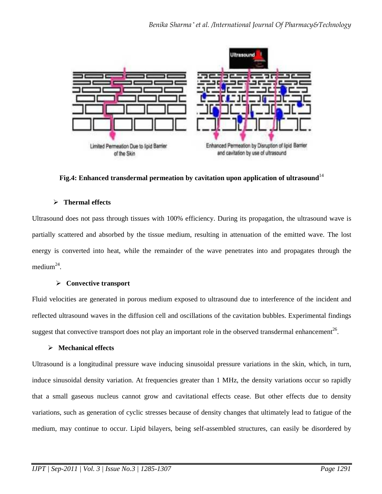

**Fig.4: Enhanced transdermal permeation by cavitation upon application of ultrasound**<sup>14</sup>

# **Thermal effects**

Ultrasound does not pass through tissues with 100% efficiency. During its propagation, the ultrasound wave is partially scattered and absorbed by the tissue medium, resulting in attenuation of the emitted wave. The lost energy is converted into heat, while the remainder of the wave penetrates into and propagates through the medium<sup>24</sup>.

# **Convective transport**

Fluid velocities are generated in porous medium exposed to ultrasound due to interference of the incident and reflected ultrasound waves in the diffusion cell and oscillations of the cavitation bubbles. Experimental findings suggest that convective transport does not play an important role in the observed transdermal enhancement<sup>26</sup>.

# **Mechanical effects**

Ultrasound is a longitudinal pressure wave inducing sinusoidal pressure variations in the skin, which, in turn, induce sinusoidal density variation. At frequencies greater than 1 MHz, the density variations occur so rapidly that a small gaseous nucleus cannot grow and cavitational effects cease. But other effects due to density variations, such as generation of cyclic stresses because of density changes that ultimately lead to fatigue of the medium, may continue to occur. Lipid bilayers, being self-assembled structures, can easily be disordered by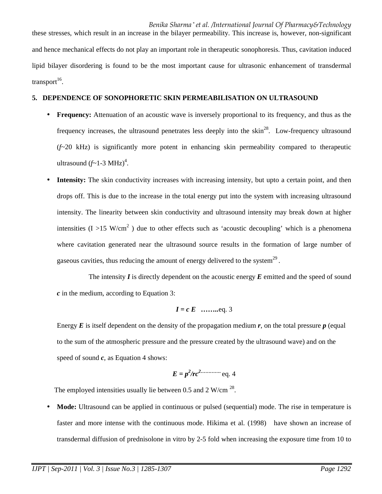these stresses, which result in an increase in the bilayer permeability. This increase is, however, non-significant and hence mechanical effects do not play an important role in therapeutic sonophoresis. Thus, cavitation induced lipid bilayer disordering is found to be the most important cause for ultrasonic enhancement of transdermal  $transport<sup>16</sup>$ .

## **5. DEPENDENCE OF SONOPHORETIC SKIN PERMEABILISATION ON ULTRASOUND**

- **Frequency:** Attenuation of an acoustic wave is inversely proportional to its frequency, and thus as the frequency increases, the ultrasound penetrates less deeply into the skin<sup>28</sup>. Low-frequency ultrasound (*f*~20 kHz) is significantly more potent in enhancing skin permeability compared to therapeutic ultrasound  $(f \sim 1-3 \text{ MHz})^4$ .
- **Intensity:** The skin conductivity increases with increasing intensity, but upto a certain point, and then drops off. This is due to the increase in the total energy put into the system with increasing ultrasound intensity. The linearity between skin conductivity and ultrasound intensity may break down at higher intensities (I > 15 W/cm<sup>2</sup>) due to other effects such as 'acoustic decoupling' which is a phenomena where cavitation generated near the ultrasound source results in the formation of large number of gaseous cavities, thus reducing the amount of energy delivered to the system<sup>29</sup>.

 The intensity *I* is directly dependent on the acoustic energy *E* emitted and the speed of sound *c* in the medium, according to Equation 3:

$$
I = c E
$$
 ......eq. 3

Energy  $E$  is itself dependent on the density of the propagation medium  $r$ , on the total pressure  $p$  (equal to the sum of the atmospheric pressure and the pressure created by the ultrasound wave) and on the speed of sound  $c$ , as Equation 4 shows:

$$
E = p^2 / rc^2
$$
 (eq. 4)

The employed intensities usually lie between 0.5 and 2 W/cm  $^{28}$ .

• **Mode:** Ultrasound can be applied in continuous or pulsed (sequential) mode. The rise in temperature is faster and more intense with the continuous mode. Hikima et al. (1998) have shown an increase of transdermal diffusion of prednisolone in vitro by 2-5 fold when increasing the exposure time from 10 to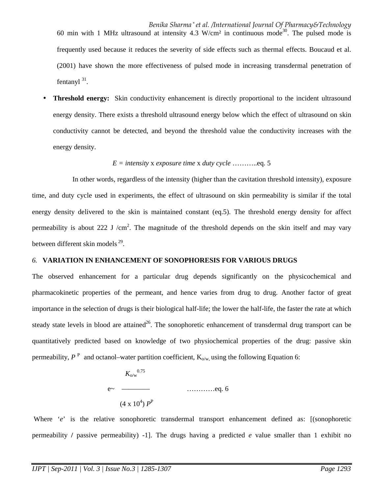*Benika Sharma \* et al. /International Journal Of Pharmacy&Technology* 60 min with 1 MHz ultrasound at intensity 4.3 W/cm<sup>2</sup> in continuous mode<sup>30</sup>. The pulsed mode is frequently used because it reduces the severity of side effects such as thermal effects. Boucaud et al. (2001) have shown the more effectiveness of pulsed mode in increasing transdermal penetration of fentanyl<sup>31</sup>.

**Threshold energy:** Skin conductivity enhancement is directly proportional to the incident ultrasound energy density. There exists a threshold ultrasound energy below which the effect of ultrasound on skin conductivity cannot be detected, and beyond the threshold value the conductivity increases with the energy density.

# *E = intensity* x *exposure time* x *duty cycle* ………..eq. 5

 In other words, regardless of the intensity (higher than the cavitation threshold intensity), exposure time, and duty cycle used in experiments, the effect of ultrasound on skin permeability is similar if the total energy density delivered to the skin is maintained constant (eq.5). The threshold energy density for affect permeability is about 222 J /cm<sup>2</sup>. The magnitude of the threshold depends on the skin itself and may vary between different skin models<sup>29</sup>.

# *6.* **VARIATION IN ENHANCEMENT OF SONOPHORESIS FOR VARIOUS DRUGS**

The observed enhancement for a particular drug depends significantly on the physicochemical and pharmacokinetic properties of the permeant, and hence varies from drug to drug. Another factor of great importance in the selection of drugs is their biological half-life; the lower the half-life, the faster the rate at which steady state levels in blood are attained<sup>26</sup>. The sonophoretic enhancement of transdermal drug transport can be quantitatively predicted based on knowledge of two physiochemical properties of the drug: passive skin permeability,  $P^P$  and octanol–water partition coefficient,  $K_{\alpha/w}$ , using the following Equation 6:

$$
K_{0/w}^{0.75}
$$
\n
$$
e \sim \frac{1}{(4 \times 10^4) P^P}
$$
\n3.18.2

Where '*e*' is the relative sonophoretic transdermal transport enhancement defined as: [(sonophoretic permeability **/** passive permeability) -1]. The drugs having a predicted *e* value smaller than 1 exhibit no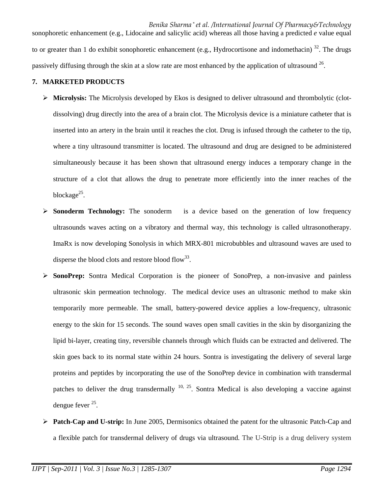*Benika Sharma \* et al. /International Journal Of Pharmacy&Technology* sonophoretic enhancement (e.g., Lidocaine and salicylic acid) whereas all those having a predicted *e* value equal to or greater than 1 do exhibit sonophoretic enhancement (e.g., Hydrocortisone and indomethacin)  $32$ . The drugs passively diffusing through the skin at a slow rate are most enhanced by the application of ultrasound  $26$ .

# **7. MARKETED PRODUCTS**

- **Microlysis:** The Microlysis developed by Ekos is designed to deliver ultrasound and thrombolytic (clotdissolving) drug directly into the area of a brain clot. The Microlysis device is a miniature catheter that is inserted into an artery in the brain until it reaches the clot. Drug is infused through the catheter to the tip, where a tiny ultrasound transmitter is located. The ultrasound and drug are designed to be administered simultaneously because it has been shown that ultrasound energy induces a temporary change in the structure of a clot that allows the drug to penetrate more efficiently into the inner reaches of the blockage<sup>25</sup>.
- Sonoderm Technology: The sonoderm is a device based on the generation of low frequency ultrasounds waves acting on a vibratory and thermal way, this technology is called ultrasonotherapy. ImaRx is now developing Sonolysis in which MRX-801 microbubbles and ultrasound waves are used to disperse the blood clots and restore blood flow<sup>33</sup>.
- **SonoPrep:** Sontra Medical Corporation is the pioneer of SonoPrep, a non-invasive and painless ultrasonic skin permeation technology. The medical device uses an ultrasonic method to make skin temporarily more permeable. The small, battery-powered device applies a low-frequency, ultrasonic energy to the skin for 15 seconds. The sound waves open small cavities in the skin by disorganizing the lipid bi-layer, creating tiny, reversible channels through which fluids can be extracted and delivered. The skin goes back to its normal state within 24 hours. Sontra is investigating the delivery of several large proteins and peptides by incorporating the use of the SonoPrep device in combination with transdermal patches to deliver the drug transdermally <sup>10, 25</sup>. Sontra Medical is also developing a vaccine against dengue fever <sup>25</sup>.
- **Patch-Cap and U-strip:** In June 2005, Dermisonics obtained the patent for the ultrasonic Patch-Cap and a flexible patch for transdermal delivery of drugs via ultrasound. The U-Strip is a drug delivery system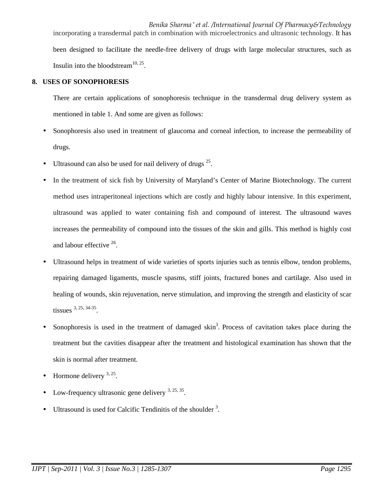*Benika Sharma \* et al. /International Journal Of Pharmacy&Technology* incorporating a transdermal patch in combination with microelectronics and ultrasonic technology. It has been designed to facilitate the needle-free delivery of drugs with large molecular structures, such as Insulin into the bloodstream $^{10, 25}$ .

## **8. USES OF SONOPHORESIS**

There are certain applications of sonophoresis technique in the transdermal drug delivery system as mentioned in table 1. And some are given as follows:

- Sonophoresis also used in treatment of glaucoma and corneal infection, to increase the permeability of drugs.
- Ultrasound can also be used for nail delivery of drugs  $2^5$ .
- In the treatment of sick fish by University of Maryland's Center of Marine Biotechnology. The current method uses intraperitoneal injections which are costly and highly labour intensive. In this experiment, ultrasound was applied to water containing fish and compound of interest. The ultrasound waves increases the permeability of compound into the tissues of the skin and gills. This method is highly cost and labour effective <sup>26</sup>.
- Ultrasound helps in treatment of wide varieties of sports injuries such as tennis elbow, tendon problems, repairing damaged ligaments, muscle spasms, stiff joints, fractured bones and cartilage. Also used in healing of wounds, skin rejuvenation, nerve stimulation, and improving the strength and elasticity of scar tissues  $3, 25, 34-35$ .
- Sonophoresis is used in the treatment of damaged  $\sin^3$ . Process of cavitation takes place during the treatment but the cavities disappear after the treatment and histological examination has shown that the skin is normal after treatment.
- Hormone delivery  $3, 25$ .
- Low-frequency ultrasonic gene delivery  $3, 25, 35$ .
- Ultrasound is used for Calcific Tendinitis of the shoulder  $3$ .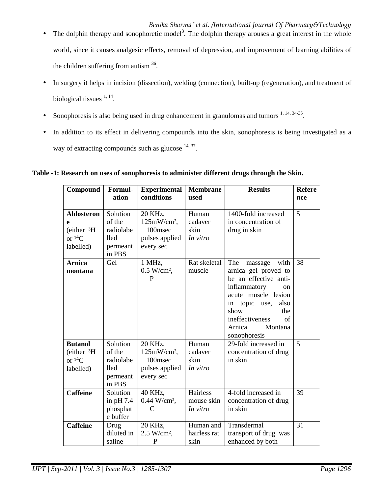- $\bullet$  The dolphin therapy and sonophoretic model<sup>3</sup>. The dolphin therapy arouses a great interest in the whole world, since it causes analgesic effects, removal of depression, and improvement of learning abilities of the children suffering from autism  $36$ .
- In surgery it helps in incision (dissection), welding (connection), built-up (regeneration), and treatment of biological tissues  $1, 14$ .
- Sonophoresis is also being used in drug enhancement in granulomas and tumors  $1, 14, 34-35$ .
- In addition to its effect in delivering compounds into the skin, sonophoresis is being investigated as a way of extracting compounds such as glucose <sup>14, 37</sup>.

**Table -1: Research on uses of sonophoresis to administer different drugs through the Skin.** 

| Compound                                                               | Formul-<br>ation                                              | <b>Experimental</b><br>conditions                                  | <b>Membrane</b><br>used                   | <b>Results</b>                                                                                                                                                                                                             | <b>Refere</b><br>nce |
|------------------------------------------------------------------------|---------------------------------------------------------------|--------------------------------------------------------------------|-------------------------------------------|----------------------------------------------------------------------------------------------------------------------------------------------------------------------------------------------------------------------------|----------------------|
| <b>Aldosteron</b><br>e<br>(either 3H)<br>or ${}^{14}C$<br>labelled)    | Solution<br>of the<br>radiolabe<br>lled<br>permeant<br>in PBS | 20 KHz,<br>$125mW/cm2$ ,<br>100msec<br>pulses applied<br>every sec | Human<br>cadaver<br>skin<br>In vitro      | 1400-fold increased<br>in concentration of<br>drug in skin                                                                                                                                                                 | 5                    |
| <b>Arnica</b><br>montana                                               | Gel                                                           | 1 MHz,<br>$0.5 W/cm2$ ,<br>P                                       | Rat skeletal<br>muscle                    | The<br>with<br>massage<br>arnica gel proved to<br>be an effective anti-<br>inflammatory<br>on<br>acute muscle lesion<br>in topic use,<br>also<br>show<br>the<br>ineffectiveness<br>of<br>Arnica<br>Montana<br>sonophoresis | 38                   |
| <b>Butanol</b><br>(either <sup>3</sup> H<br>or ${}^{14}C$<br>labelled) | Solution<br>of the<br>radiolabe<br>lled<br>permeant<br>in PBS | 20 KHz,<br>$125mW/cm2$ ,<br>100msec<br>pulses applied<br>every sec | Human<br>cadaver<br>skin<br>In vitro      | 29-fold increased in<br>concentration of drug<br>in skin                                                                                                                                                                   | 5                    |
| <b>Caffeine</b>                                                        | Solution<br>in $pH 7.4$<br>phosphat<br>e buffer               | 40 KHz,<br>$0.44$ W/cm <sup>2</sup> ,<br>C                         | <b>Hairless</b><br>mouse skin<br>In vitro | 4-fold increased in<br>concentration of drug<br>in skin                                                                                                                                                                    | 39                   |
| <b>Caffeine</b>                                                        | Drug<br>diluted in<br>saline                                  | 20 KHz,<br>$2.5 W/cm2$ ,<br>P                                      | Human and<br>hairless rat<br>skin         | Transdermal<br>transport of drug was<br>enhanced by both                                                                                                                                                                   | 31                   |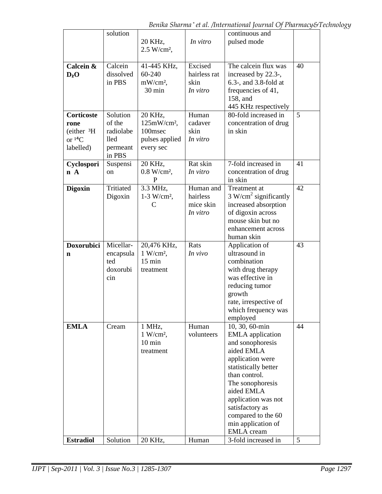|                        | solution           |                           |              | continuous and                           |    |
|------------------------|--------------------|---------------------------|--------------|------------------------------------------|----|
|                        |                    | 20 KHz,                   | In vitro     | pulsed mode                              |    |
|                        |                    | $2.5 W/cm2$ ,             |              |                                          |    |
|                        |                    |                           |              |                                          |    |
| Calcein &              | Calcein            | 41-445 KHz,               | Excised      | The calcein flux was                     | 40 |
| $D_2O$                 | dissolved          | 60-240                    | hairless rat | increased by 22.3-,                      |    |
|                        | in PBS             | $mW/cm^2$ ,               | skin         | $6.3$ -, and $3.8$ -fold at              |    |
|                        |                    | 30 min                    | In vitro     | frequencies of 41,                       |    |
|                        |                    |                           |              | 158, and                                 |    |
|                        |                    |                           |              | 445 KHz respectively                     |    |
| <b>Corticoste</b>      | Solution           | 20 KHz,                   | Human        | 80-fold increased in                     | 5  |
| rone                   | of the             | $125mW/cm2$ ,             | cadaver      | concentration of drug                    |    |
| (either <sup>3</sup> H | radiolabe          | 100msec                   | skin         | in skin                                  |    |
| or ${}^{14}C$          | lled               | pulses applied            | In vitro     |                                          |    |
| labelled)              | permeant<br>in PBS | every sec                 |              |                                          |    |
| Cyclospori             | Suspensi           | 20 KHz,                   | Rat skin     | 7-fold increased in                      | 41 |
| $n \, A$               | on                 | $0.8 W/cm^2$ ,            | In vitro     | concentration of drug                    |    |
|                        |                    | P                         |              | in skin                                  |    |
| <b>Digoxin</b>         | Tritiated          | 3.3 MHz,                  | Human and    | Treatment at                             | 42 |
|                        | Digoxin            | $1-3$ W/cm <sup>2</sup> , | hairless     | 3 W/cm <sup>2</sup> significantly        |    |
|                        |                    | C                         | mice skin    | increased absorption                     |    |
|                        |                    |                           | In vitro     | of digoxin across                        |    |
|                        |                    |                           |              | mouse skin but no                        |    |
|                        |                    |                           |              | enhancement across                       |    |
|                        |                    |                           |              | human skin                               |    |
| <b>Doxorubici</b>      | Micellar-          | 20,476 KHz,               | Rats         | Application of                           | 43 |
| n                      | encapsula          | $1 W/cm^2$ ,              | In vivo      | ultrasound in                            |    |
|                        | ted                | $15 \text{ min}$          |              | combination                              |    |
|                        | doxorubi           | treatment                 |              | with drug therapy                        |    |
|                        | cin                |                           |              | was effective in                         |    |
|                        |                    |                           |              | reducing tumor                           |    |
|                        |                    |                           |              | growth                                   |    |
|                        |                    |                           |              | rate, irrespective of                    |    |
|                        |                    |                           |              | which frequency was                      |    |
|                        |                    |                           |              | employed                                 |    |
| <b>EMLA</b>            | Cream              | 1 MHz,                    | Human        | 10, 30, 60-min                           | 44 |
|                        |                    | $1 W/cm^2$ ,              | volunteers   | <b>EMLA</b> application                  |    |
|                        |                    | $10 \text{ min}$          |              | and sonophoresis<br>aided EMLA           |    |
|                        |                    | treatment                 |              |                                          |    |
|                        |                    |                           |              | application were<br>statistically better |    |
|                        |                    |                           |              | than control.                            |    |
|                        |                    |                           |              | The sonophoresis                         |    |
|                        |                    |                           |              | aided EMLA                               |    |
|                        |                    |                           |              | application was not                      |    |
|                        |                    |                           |              | satisfactory as                          |    |
|                        |                    |                           |              | compared to the 60                       |    |
|                        |                    |                           |              | min application of                       |    |
|                        |                    |                           |              | <b>EMLA</b> cream                        |    |
| <b>Estradiol</b>       | Solution           | 20 KHz,                   | Human        | 3-fold increased in                      | 5  |
|                        |                    |                           |              |                                          |    |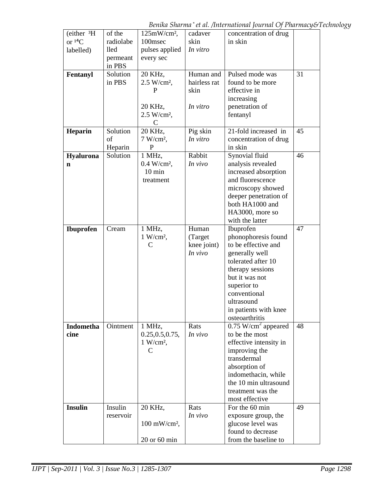*Benika Sharma \* et al. /International Journal Of Pharmacy&Technology*

| (either 3H)      | of the             | $125mW/cm2$ ,              | cadaver      | concentration of drug                    |    |
|------------------|--------------------|----------------------------|--------------|------------------------------------------|----|
| or ${}^{14}C$    | radiolabe          | 100msec                    | skin         | in skin                                  |    |
| labelled)        | lled               | pulses applied             | In vitro     |                                          |    |
|                  | permeant           | every sec                  |              |                                          |    |
|                  | in PBS<br>Solution | 20 KHz,                    | Human and    | Pulsed mode was                          | 31 |
| Fentanyl         | in PBS             | $2.5 W/cm2$ ,              | hairless rat | found to be more                         |    |
|                  |                    | P                          | skin         | effective in                             |    |
|                  |                    |                            |              | increasing                               |    |
|                  |                    | 20 KHz,                    | In vitro     | penetration of                           |    |
|                  |                    | $2.5 W/cm2$ ,              |              | fentanyl                                 |    |
|                  |                    | C                          |              |                                          |    |
| Heparin          | Solution           | 20 KHz,                    | Pig skin     | 21-fold increased in                     | 45 |
|                  | of                 | $7 W/cm^2$ ,               | In vitro     | concentration of drug                    |    |
|                  | Heparin            | P                          |              | in skin                                  |    |
| Hyalurona        | Solution           | 1 MHz,                     | Rabbit       | Synovial fluid                           | 46 |
| $\mathbf n$      |                    | $0.4 W/cm2$ ,              | In vivo      | analysis revealed                        |    |
|                  |                    | $10 \text{ min}$           |              | increased absorption                     |    |
|                  |                    | treatment                  |              | and fluorescence                         |    |
|                  |                    |                            |              | microscopy showed                        |    |
|                  |                    |                            |              | deeper penetration of<br>both HA1000 and |    |
|                  |                    |                            |              |                                          |    |
|                  |                    |                            |              | HA3000, more so<br>with the latter       |    |
| <b>Ibuprofen</b> | Cream              | 1 MHz,                     | Human        | Ibuprofen                                | 47 |
|                  |                    | $1 W/cm2$ ,                | (Target      | phonophoresis found                      |    |
|                  |                    | $\mathsf{C}$               | knee joint)  | to be effective and                      |    |
|                  |                    |                            | In vivo      | generally well                           |    |
|                  |                    |                            |              | tolerated after 10                       |    |
|                  |                    |                            |              | therapy sessions                         |    |
|                  |                    |                            |              | but it was not                           |    |
|                  |                    |                            |              | superior to                              |    |
|                  |                    |                            |              | conventional                             |    |
|                  |                    |                            |              | ultrasound                               |    |
|                  |                    |                            |              | in patients with knee                    |    |
|                  |                    |                            |              | osteoarthritis                           |    |
| Indometha        | Ointment           | 1 MHz,                     | Rats         | $0.75$ W/cm <sup>2</sup> appeared        | 48 |
| cine             |                    | 0.25, 0.5, 0.75,           | In vivo      | to be the most                           |    |
|                  |                    | $1 \text{ W/cm}^2$ ,       |              | effective intensity in                   |    |
|                  |                    | C                          |              | improving the<br>transdermal             |    |
|                  |                    |                            |              |                                          |    |
|                  |                    |                            |              | absorption of<br>indomethacin, while     |    |
|                  |                    |                            |              | the 10 min ultrasound                    |    |
|                  |                    |                            |              | treatment was the                        |    |
|                  |                    |                            |              | most effective                           |    |
| <b>Insulin</b>   | Insulin            | 20 KHz,                    | Rats         | For the 60 min                           | 49 |
|                  | reservoir          |                            | In vivo      | exposure group, the                      |    |
|                  |                    | $100$ mW/cm <sup>2</sup> , |              | glucose level was                        |    |
|                  |                    |                            |              | found to decrease                        |    |
|                  |                    | $20$ or $60$ min           |              | from the baseline to                     |    |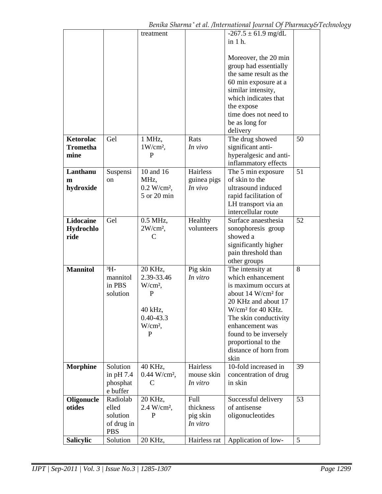|                  |             | treatment                  |              | $-267.5 \pm 61.9$ mg/dL        |    |
|------------------|-------------|----------------------------|--------------|--------------------------------|----|
|                  |             |                            |              |                                |    |
|                  |             |                            |              | in 1 h.                        |    |
|                  |             |                            |              |                                |    |
|                  |             |                            |              | Moreover, the 20 min           |    |
|                  |             |                            |              | group had essentially          |    |
|                  |             |                            |              | the same result as the         |    |
|                  |             |                            |              | 60 min exposure at a           |    |
|                  |             |                            |              | similar intensity,             |    |
|                  |             |                            |              | which indicates that           |    |
|                  |             |                            |              | the expose                     |    |
|                  |             |                            |              | time does not need to          |    |
|                  |             |                            |              | be as long for                 |    |
|                  |             |                            |              | delivery                       |    |
| Ketorolac        | Gel         | 1 MHz,                     | Rats         | The drug showed                | 50 |
| <b>Trometha</b>  |             | $1 W/cm2$ ,                | In vivo      | significant anti-              |    |
| mine             |             | P                          |              | hyperalgesic and anti-         |    |
|                  |             |                            |              | inflammatory effects           |    |
|                  |             |                            |              |                                |    |
| Lanthanu         | Suspensi    | 10 and 16                  | Hairless     | The 5 min exposure             | 51 |
| m                | on          | MHz,                       | guinea pigs  | of skin to the                 |    |
| hydroxide        |             | $0.2 W/cm^2$ ,             | In vivo      | ultrasound induced             |    |
|                  |             | 5 or 20 min                |              | rapid facilitation of          |    |
|                  |             |                            |              | LH transport via an            |    |
|                  |             |                            |              | intercellular route            |    |
| Lidocaine        | Gel         | 0.5 MHz,                   | Healthy      | Surface anaesthesia            | 52 |
| Hydrochlo        |             | $2W/cm^2$ ,                | volunteers   | sonophoresis group             |    |
| ride             |             | C                          |              | showed a                       |    |
|                  |             |                            |              | significantly higher           |    |
|                  |             |                            |              | pain threshold than            |    |
|                  |             |                            |              | other groups                   |    |
| <b>Mannitol</b>  | $3H -$      | 20 KHz,                    | Pig skin     | The intensity at               | 8  |
|                  | mannitol    | 2.39-33.46                 | In vitro     | which enhancement              |    |
|                  | in PBS      | $W/cm^2$ ,                 |              | is maximum occurs at           |    |
|                  | solution    | P                          |              | about 14 W/cm <sup>2</sup> for |    |
|                  |             |                            |              | 20 KHz and about 17            |    |
|                  |             | 40 kHz,                    |              | $W/cm2$ for 40 KHz.            |    |
|                  |             |                            |              |                                |    |
|                  |             | $0.40 - 43.3$              |              | The skin conductivity          |    |
|                  |             | $W/cm^2$ ,                 |              | enhancement was                |    |
|                  |             | P                          |              | found to be inversely          |    |
|                  |             |                            |              | proportional to the            |    |
|                  |             |                            |              | distance of horn from          |    |
|                  |             |                            |              | skin                           |    |
| <b>Morphine</b>  | Solution    | 40 KHz,                    | Hairless     | 10-fold increased in           | 39 |
|                  | in $pH 7.4$ | $0.44$ W/cm <sup>2</sup> , | mouse skin   | concentration of drug          |    |
|                  | phosphat    | C                          | In vitro     | in skin                        |    |
|                  | e buffer    |                            |              |                                |    |
| Oligonucle       | Radiolab    | 20 KHz,                    | Full         | Successful delivery            | 53 |
| otides           | elled       | $2.4 W/cm2$ ,              | thickness    | of antisense                   |    |
|                  | solution    | P                          | pig skin     | oligonucleotides               |    |
|                  | of drug in  |                            | In vitro     |                                |    |
|                  | <b>PBS</b>  |                            |              |                                |    |
| <b>Salicylic</b> | Solution    | 20 KHz,                    | Hairless rat | Application of low-            | 5  |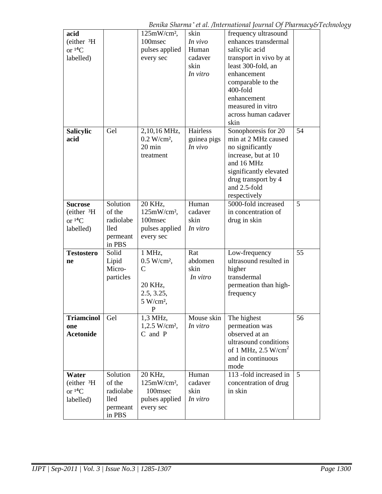| acid                   |           | $125mW/cm2$ ,               | skin        | frequency ultrasound              |    |
|------------------------|-----------|-----------------------------|-------------|-----------------------------------|----|
| (either 3H)            |           | 100msec                     | In vivo     | enhances transdermal              |    |
| or ${}^{14}C$          |           |                             | Human       |                                   |    |
|                        |           | pulses applied              |             | salicylic acid                    |    |
| labelled)              |           | every sec                   | cadaver     | transport in vivo by at           |    |
|                        |           |                             | skin        | least 300-fold, an                |    |
|                        |           |                             | In vitro    | enhancement                       |    |
|                        |           |                             |             | comparable to the                 |    |
|                        |           |                             |             | 400-fold                          |    |
|                        |           |                             |             | enhancement                       |    |
|                        |           |                             |             | measured in vitro                 |    |
|                        |           |                             |             | across human cadaver              |    |
|                        |           |                             |             | skin                              |    |
| <b>Salicylic</b>       | Gel       | 2,10,16 MHz,                | Hairless    | Sonophoresis for 20               | 54 |
| acid                   |           | $0.2 W/cm^2$ ,              | guinea pigs | min at 2 MHz caused               |    |
|                        |           | 20 min                      | In vivo     | no significantly                  |    |
|                        |           | treatment                   |             | increase, but at 10               |    |
|                        |           |                             |             | and 16 MHz                        |    |
|                        |           |                             |             | significantly elevated            |    |
|                        |           |                             |             |                                   |    |
|                        |           |                             |             | drug transport by 4               |    |
|                        |           |                             |             | and 2.5-fold                      |    |
|                        |           |                             |             | respectively                      |    |
| <b>Sucrose</b>         | Solution  | 20 KHz,                     | Human       | 5000-fold increased               | 5  |
| (either 3H)            | of the    | $125mW/cm^2$ ,              | cadaver     | in concentration of               |    |
| or ${}^{14}C$          | radiolabe | 100msec                     | skin        | drug in skin                      |    |
| labelled)              | lled      | pulses applied              | In vitro    |                                   |    |
|                        | permeant  | every sec                   |             |                                   |    |
|                        | in PBS    |                             |             |                                   |    |
| <b>Testostero</b>      | Solid     | 1 MHz,                      | Rat         | Low-frequency                     | 55 |
| ne                     | Lipid     | $0.5 W/cm2$ ,               | abdomen     | ultrasound resulted in            |    |
|                        | Micro-    | $\mathcal{C}$               | skin        | higher                            |    |
|                        | particles |                             | In vitro    | transdermal                       |    |
|                        |           | 20 KHz,                     |             | permeation than high-             |    |
|                        |           | 2.5, 3.25,                  |             | frequency                         |    |
|                        |           | $5 W/cm2$ ,                 |             |                                   |    |
|                        |           | P                           |             |                                   |    |
| <b>Triamcinol</b>      | Gel       | 1,3 MHz,                    | Mouse skin  | The highest                       | 56 |
| one                    |           | $1,2.5$ W/cm <sup>2</sup> , | In vitro    | permeation was                    |    |
| <b>Acetonide</b>       |           | C and P                     |             | observed at an                    |    |
|                        |           |                             |             | ultrasound conditions             |    |
|                        |           |                             |             |                                   |    |
|                        |           |                             |             | of 1 MHz, $2.5$ W/cm <sup>2</sup> |    |
|                        |           |                             |             | and in continuous                 |    |
|                        |           |                             |             | mode                              |    |
| Water                  | Solution  | 20 KHz,                     | Human       | 113 -fold increased in            | 5  |
| (either <sup>3</sup> H | of the    | $125mW/cm2$ ,               | cadaver     | concentration of drug             |    |
| or ${}^{14}C$          | radiolabe | 100msec                     | skin        | in skin                           |    |
| labelled)              | lled      | pulses applied              | In vitro    |                                   |    |
|                        | permeant  | every sec                   |             |                                   |    |
|                        | in PBS    |                             |             |                                   |    |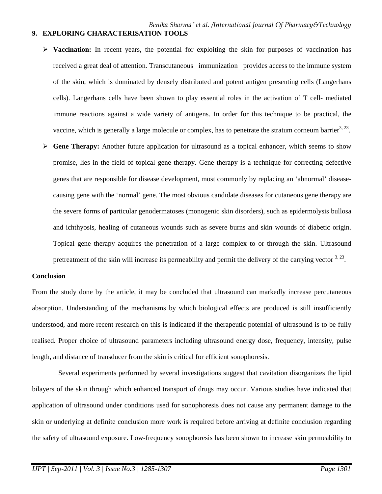- **Vaccination:** In recent years, the potential for exploiting the skin for purposes of vaccination has received a great deal of attention. Transcutaneous immunization provides access to the immune system of the skin, which is dominated by densely distributed and potent antigen presenting cells (Langerhans cells). Langerhans cells have been shown to play essential roles in the activation of T cell- mediated immune reactions against a wide variety of antigens. In order for this technique to be practical, the vaccine, which is generally a large molecule or complex, has to penetrate the stratum corneum barrier<sup>3, 23</sup>.
- **► Gene Therapy:** Another future application for ultrasound as a topical enhancer, which seems to show promise, lies in the field of topical gene therapy. Gene therapy is a technique for correcting defective genes that are responsible for disease development, most commonly by replacing an 'abnormal' diseasecausing gene with the 'normal' gene. The most obvious candidate diseases for cutaneous gene therapy are the severe forms of particular genodermatoses (monogenic skin disorders), such as epidermolysis bullosa and ichthyosis, healing of cutaneous wounds such as severe burns and skin wounds of diabetic origin. Topical gene therapy acquires the penetration of a large complex to or through the skin. Ultrasound pretreatment of the skin will increase its permeability and permit the delivery of the carrying vector <sup>3, 23</sup>.

### **Conclusion**

From the study done by the article, it may be concluded that ultrasound can markedly increase percutaneous absorption. Understanding of the mechanisms by which biological effects are produced is still insufficiently understood, and more recent research on this is indicated if the therapeutic potential of ultrasound is to be fully realised. Proper choice of ultrasound parameters including ultrasound energy dose, frequency, intensity, pulse length, and distance of transducer from the skin is critical for efficient sonophoresis.

 Several experiments performed by several investigations suggest that cavitation disorganizes the lipid bilayers of the skin through which enhanced transport of drugs may occur. Various studies have indicated that application of ultrasound under conditions used for sonophoresis does not cause any permanent damage to the skin or underlying at definite conclusion more work is required before arriving at definite conclusion regarding the safety of ultrasound exposure. Low-frequency sonophoresis has been shown to increase skin permeability to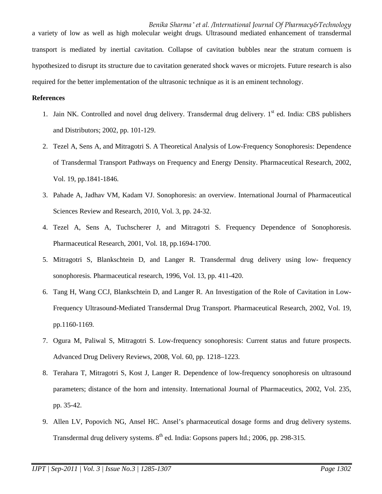*Benika Sharma \* et al. /International Journal Of Pharmacy&Technology* a variety of low as well as high molecular weight drugs. Ultrasound mediated enhancement of transdermal transport is mediated by inertial cavitation. Collapse of cavitation bubbles near the stratum cornuem is hypothesized to disrupt its structure due to cavitation generated shock waves or microjets. Future research is also required for the better implementation of the ultrasonic technique as it is an eminent technology.

### **References**

- 1. Jain NK. Controlled and novel drug delivery. Transdermal drug delivery. 1<sup>st</sup> ed. India: CBS publishers and Distributors; 2002, pp. 101-129.
- 2. Tezel A, Sens A, and Mitragotri S. A Theoretical Analysis of Low-Frequency Sonophoresis: Dependence of Transdermal Transport Pathways on Frequency and Energy Density. Pharmaceutical Research, 2002, Vol. 19, pp.1841-1846.
- 3. Pahade A, Jadhav VM, Kadam VJ. Sonophoresis: an overview. International Journal of Pharmaceutical Sciences Review and Research, 2010, Vol. 3, pp. 24-32.
- 4. Tezel A, Sens A, Tuchscherer J, and Mitragotri S. Frequency Dependence of Sonophoresis. Pharmaceutical Research, 2001, Vol. 18, pp.1694-1700.
- 5. Mitragotri S, Blankschtein D, and Langer R. Transdermal drug delivery using low- frequency sonophoresis. Pharmaceutical research, 1996, Vol. 13, pp. 411-420.
- 6. Tang H, Wang CCJ, Blankschtein D, and Langer R. An Investigation of the Role of Cavitation in Low-Frequency Ultrasound-Mediated Transdermal Drug Transport. Pharmaceutical Research, 2002, Vol. 19, pp.1160-1169.
- 7. Ogura M, Paliwal S, Mitragotri S. Low-frequency sonophoresis: Current status and future prospects. Advanced Drug Delivery Reviews, 2008, Vol. 60, pp. 1218–1223.
- 8. Terahara T, Mitragotri S, Kost J, Langer R. Dependence of low-frequency sonophoresis on ultrasound parameters; distance of the horn and intensity. International Journal of Pharmaceutics, 2002, Vol. 235, pp. 35-42.
- 9. Allen LV, Popovich NG, Ansel HC. Ansel's pharmaceutical dosage forms and drug delivery systems. Transdermal drug delivery systems. 8<sup>th</sup> ed. India: Gopsons papers ltd.; 2006, pp. 298-315.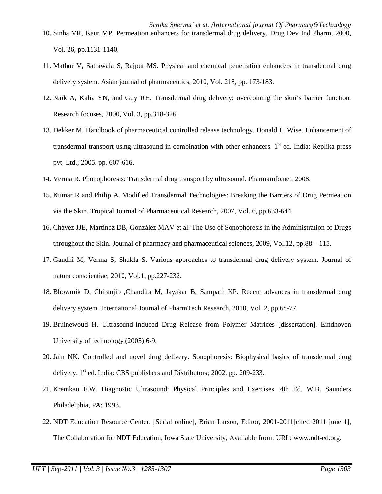- *Benika Sharma \* et al. /International Journal Of Pharmacy&Technology* 10. Sinha VR, Kaur MP. Permeation enhancers for transdermal drug delivery. Drug Dev Ind Pharm, 2000, Vol. 26, pp.1131-1140.
- 11. Mathur V, Satrawala S, Rajput MS. Physical and chemical penetration enhancers in transdermal drug delivery system. Asian journal of pharmaceutics, 2010, Vol. 218, pp. 173-183.
- 12. Naik A, Kalia YN, and Guy RH. Transdermal drug delivery: overcoming the skin's barrier function*.*  Research focuses, 2000, Vol. 3, pp.318-326.
- 13. Dekker M. Handbook of pharmaceutical controlled release technology. Donald L. Wise. Enhancement of transdermal transport using ultrasound in combination with other enhancers.  $1<sup>st</sup>$  ed. India: Replika press pvt. Ltd.; 2005. pp. 607-616.
- 14. Verma R. Phonophoresis: Transdermal drug transport by ultrasound. Pharmainfo.net, 2008.
- 15. Kumar R and Philip A. Modified Transdermal Technologies: Breaking the Barriers of Drug Permeation via the Skin. Tropical Journal of Pharmaceutical Research, 2007, Vol. 6, pp.633-644.
- 16. Chávez JJE, Martínez DB, González MAV et al. The Use of Sonophoresis in the Administration of Drugs throughout the Skin. Journal of pharmacy and pharmaceutical sciences, 2009, Vol.12, pp.88 – 115.
- 17. Gandhi M, Verma S, Shukla S. Various approaches to transdermal drug delivery system. Journal of natura conscientiae, 2010, Vol.1, pp.227-232.
- 18. Bhowmik D, Chiranjib ,Chandira M, Jayakar B, Sampath KP. Recent advances in transdermal drug delivery system. International Journal of PharmTech Research, 2010, Vol. 2, pp.68-77.
- 19. Bruinewoud H. Ultrasound-Induced Drug Release from Polymer Matrices [dissertation]. Eindhoven University of technology (2005) 6-9.
- 20. Jain NK. Controlled and novel drug delivery. Sonophoresis: Biophysical basics of transdermal drug delivery. 1<sup>st</sup> ed. India: CBS publishers and Distributors; 2002. pp. 209-233.
- 21. Kremkau F.W. Diagnostic Ultrasound: Physical Principles and Exercises. 4th Ed. W.B. Saunders Philadelphia, PA; 1993.
- 22. NDT Education Resource Center. [Serial online], Brian Larson, Editor, 2001-2011[cited 2011 june 1], The Collaboration for NDT Education, Iowa State University, Available from: URL: www.ndt-ed.org.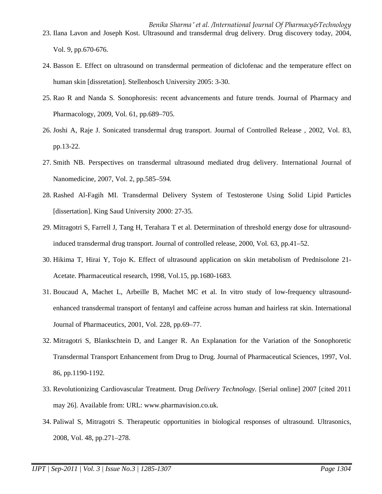*Benika Sharma \* et al. /International Journal Of Pharmacy&Technology* 23. Ilana Lavon and Joseph Kost. Ultrasound and transdermal drug delivery. Drug discovery today, 2004, Vol. 9, pp.670-676.

- 24. Basson E. Effect on ultrasound on transdermal permeation of diclofenac and the temperature effect on human skin [dissretation]. Stellenbosch University 2005: 3-30.
- 25. Rao R and Nanda S. Sonophoresis: recent advancements and future trends. Journal of Pharmacy and Pharmacology, 2009, Vol. 61, pp.689–705.
- 26. Joshi A, Raje J. Sonicated transdermal drug transport. Journal of Controlled Release , 2002, Vol. 83, pp.13-22.
- 27. Smith NB. Perspectives on transdermal ultrasound mediated drug delivery. International Journal of Nanomedicine, 2007, Vol. 2, pp.585–594.
- 28. Rashed Al-Fagih MI. Transdermal Delivery System of Testosterone Using Solid Lipid Particles [dissertation]. King Saud University 2000: 27-35.
- 29. Mitragotri S, Farrell J, Tang H, Terahara T et al. Determination of threshold energy dose for ultrasoundinduced transdermal drug transport. Journal of controlled release, 2000, Vol. 63, pp.41–52.
- 30. Hikima T, Hirai Y, Tojo K. Effect of ultrasound application on skin metabolism of Prednisolone 21- Acetate. Pharmaceutical research, 1998, Vol.15, pp.1680-1683.
- 31. Boucaud A, Machet L, Arbeille B, Machet MC et al. In vitro study of low-frequency ultrasoundenhanced transdermal transport of fentanyl and caffeine across human and hairless rat skin. International Journal of Pharmaceutics, 2001, Vol. 228, pp.69–77.
- 32. Mitragotri S, Blankschtein D, and Langer R. An Explanation for the Variation of the Sonophoretic Transdermal Transport Enhancement from Drug to Drug. Journal of Pharmaceutical Sciences, 1997, Vol. 86, pp.1190-1192.
- 33. Revolutionizing Cardiovascular Treatment. Drug *Delivery Technology*. [Serial online] 2007 [cited 2011 may 26]. Available from: URL: www.pharmavision.co.uk.
- 34. Paliwal S, Mitragotri S. Therapeutic opportunities in biological responses of ultrasound. Ultrasonics, 2008, Vol. 48, pp.271–278.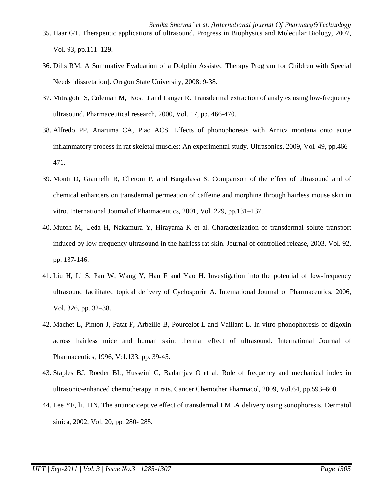- *Benika Sharma \* et al. /International Journal Of Pharmacy&Technology* 35. Haar GT. Therapeutic applications of ultrasound. Progress in Biophysics and Molecular Biology, 2007, Vol. 93, pp.111–129.
- 36. Dilts RM. A Summative Evaluation of a Dolphin Assisted Therapy Program for Children with Special Needs [dissretation]. Oregon State University, 2008: 9-38.
- 37. Mitragotri S, Coleman M, Kost J and Langer R. Transdermal extraction of analytes using low-frequency ultrasound. Pharmaceutical research, 2000, Vol. 17, pp. 466-470.
- 38. Alfredo PP, Anaruma CA, Piao ACS. Effects of phonophoresis with Arnica montana onto acute inflammatory process in rat skeletal muscles: An experimental study. Ultrasonics, 2009, Vol. 49, pp.466– 471.
- 39. Monti D, Giannelli R, Chetoni P, and Burgalassi S. Comparison of the effect of ultrasound and of chemical enhancers on transdermal permeation of caffeine and morphine through hairless mouse skin in vitro. International Journal of Pharmaceutics, 2001, Vol. 229, pp.131–137.
- 40. Mutoh M, Ueda H, Nakamura Y, Hirayama K et al. Characterization of transdermal solute transport induced by low-frequency ultrasound in the hairless rat skin. Journal of controlled release, 2003, Vol. 92, pp. 137-146.
- 41. Liu H, Li S, Pan W, Wang Y, Han F and Yao H. Investigation into the potential of low-frequency ultrasound facilitated topical delivery of Cyclosporin A. International Journal of Pharmaceutics, 2006, Vol. 326, pp. 32–38.
- 42. Machet L, Pinton J, Patat F, Arbeille B, Pourcelot L and Vaillant L. In vitro phonophoresis of digoxin across hairless mice and human skin: thermal effect of ultrasound. International Journal of Pharmaceutics, 1996, Vol.133, pp. 39-45.
- 43. Staples BJ, Roeder BL, Husseini G, Badamjav O et al. Role of frequency and mechanical index in ultrasonic-enhanced chemotherapy in rats. Cancer Chemother Pharmacol, 2009, Vol.64, pp.593–600.
- 44. Lee YF, liu HN. The antinociceptive effect of transdermal EMLA delivery using sonophoresis. Dermatol sinica, 2002, Vol. 20, pp. 280- 285.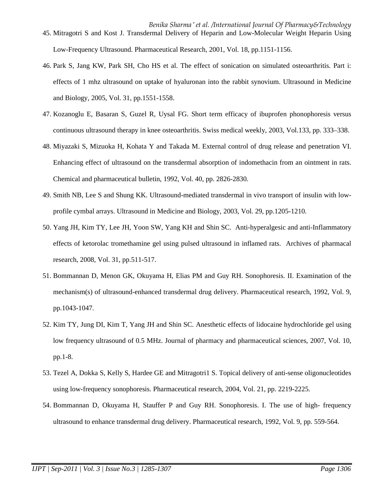- 46. Park S, Jang KW, Park SH, Cho HS et al. The effect of sonication on simulated osteoarthritis. Part i: effects of 1 mhz ultrasound on uptake of hyaluronan into the rabbit synovium. Ultrasound in Medicine and Biology, 2005, Vol. 31, pp.1551-1558.
- 47. Kozanoglu E, Basaran S, Guzel R, Uysal FG. Short term efficacy of ibuprofen phonophoresis versus continuous ultrasound therapy in knee osteoarthritis. Swiss medical weekly, 2003, Vol.133, pp. 333–338.
- 48. Miyazaki S, Mizuoka H, Kohata Y and Takada M. External control of drug release and penetration VI. Enhancing effect of ultrasound on the transdermal absorption of indomethacin from an ointment in rats. Chemical and pharmaceutical bulletin, 1992, Vol. 40, pp. 2826-2830.
- 49. Smith NB, Lee S and Shung KK. Ultrasound-mediated transdermal in vivo transport of insulin with lowprofile cymbal arrays. Ultrasound in Medicine and Biology, 2003, Vol. 29, pp.1205-1210.
- 50. Yang JH, Kim TY, Lee JH, Yoon SW, Yang KH and Shin SC. Anti-hyperalgesic and anti-Inflammatory effects of ketorolac tromethamine gel using pulsed ultrasound in inflamed rats. Archives of pharmacal research, 2008, Vol. 31, pp.511-517.
- 51. Bommannan D, Menon GK, Okuyama H, Elias PM and Guy RH. Sonophoresis. II. Examination of the mechanism(s) of ultrasound-enhanced transdermal drug delivery. Pharmaceutical research, 1992, Vol. 9, pp.1043-1047.
- 52. Kim TY, Jung DI, Kim T, Yang JH and Shin SC. Anesthetic effects of lidocaine hydrochloride gel using low frequency ultrasound of 0.5 MHz. Journal of pharmacy and pharmaceutical sciences, 2007, Vol. 10, pp.1-8.
- 53. Tezel A, Dokka S, Kelly S, Hardee GE and Mitragotri1 S. Topical delivery of anti-sense oligonucleotides using low-frequency sonophoresis. Pharmaceutical research, 2004, Vol. 21, pp. 2219-2225.
- 54. Bommannan D, Okuyama H, Stauffer P and Guy RH. Sonophoresis. I. The use of high- frequency ultrasound to enhance transdermal drug delivery. Pharmaceutical research, 1992, Vol. 9, pp. 559-564.